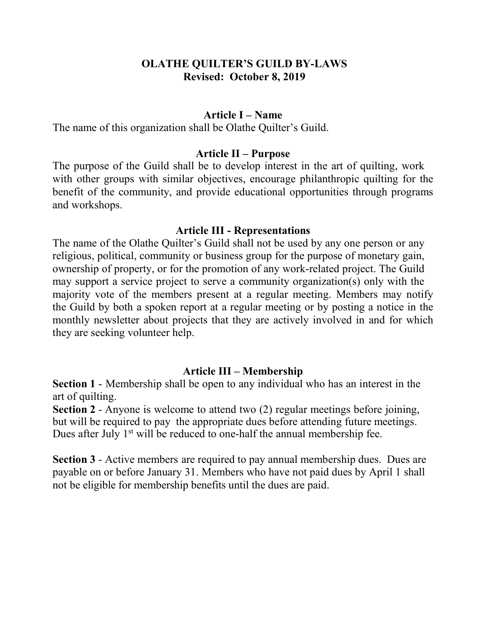## **OLATHE QUILTER'S GUILD BY-LAWS Revised: October 8, 2019**

### **Article I – Name**

The name of this organization shall be Olathe Quilter's Guild.

### **Article II – Purpose**

The purpose of the Guild shall be to develop interest in the art of quilting, work with other groups with similar objectives, encourage philanthropic quilting for the benefit of the community, and provide educational opportunities through programs and workshops.

### **Article III - Representations**

The name of the Olathe Quilter's Guild shall not be used by any one person or any religious, political, community or business group for the purpose of monetary gain, ownership of property, or for the promotion of any work-related project. The Guild may support a service project to serve a community organization(s) only with the majority vote of the members present at a regular meeting. Members may notify the Guild by both a spoken report at a regular meeting or by posting a notice in the monthly newsletter about projects that they are actively involved in and for which they are seeking volunteer help.

## **Article III – Membership**

**Section 1** - Membership shall be open to any individual who has an interest in the art of quilting.

**Section 2** - Anyone is welcome to attend two (2) regular meetings before joining, but will be required to pay the appropriate dues before attending future meetings. Dues after July  $1<sup>st</sup>$  will be reduced to one-half the annual membership fee.

**Section 3** - Active members are required to pay annual membership dues. Dues are payable on or before January 31. Members who have not paid dues by April 1 shall not be eligible for membership benefits until the dues are paid.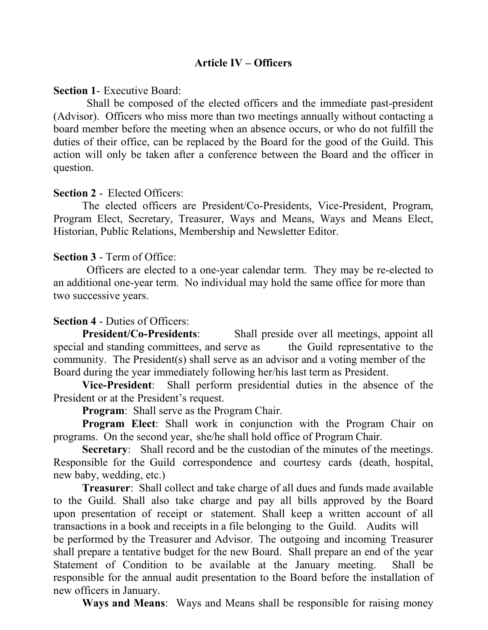# **Article IV – Officers**

**Section 1**- Executive Board:

Shall be composed of the elected officers and the immediate past-president (Advisor). Officers who miss more than two meetings annually without contacting a board member before the meeting when an absence occurs, or who do not fulfill the duties of their office, can be replaced by the Board for the good of the Guild. This action will only be taken after a conference between the Board and the officer in question.

## **Section 2** - Elected Officers:

The elected officers are President/Co-Presidents, Vice-President, Program, Program Elect, Secretary, Treasurer, Ways and Means, Ways and Means Elect, Historian, Public Relations, Membership and Newsletter Editor.

### **Section 3** - Term of Office:

Officers are elected to a one-year calendar term. They may be re-elected to an additional one-year term. No individual may hold the same office for more than two successive years.

## **Section 4** - Duties of Officers:

**President/Co-Presidents:** Shall preside over all meetings, appoint all special and standing committees, and serve as the Guild representative to the community. The President(s) shall serve as an advisor and a voting member of the Board during the year immediately following her/his last term as President.

**Vice-President**: Shall perform presidential duties in the absence of the President or at the President's request.

**Program**: Shall serve as the Program Chair.

**Program Elect**: Shall work in conjunction with the Program Chair on programs. On the second year, she/he shall hold office of Program Chair.

**Secretary:** Shall record and be the custodian of the minutes of the meetings. Responsible for the Guild correspondence and courtesy cards (death, hospital, new baby, wedding, etc.)

**Treasurer**: Shall collect and take charge of all dues and funds made available to the Guild. Shall also take charge and pay all bills approved by the Board upon presentation of receipt or statement. Shall keep a written account of all transactions in a book and receipts in a file belonging to the Guild. Audits will be performed by the Treasurer and Advisor. The outgoing and incoming Treasurer shall prepare a tentative budget for the new Board. Shall prepare an end of the year Statement of Condition to be available at the January meeting. Shall be responsible for the annual audit presentation to the Board before the installation of new officers in January.

**Ways and Means**: Ways and Means shall be responsible for raising money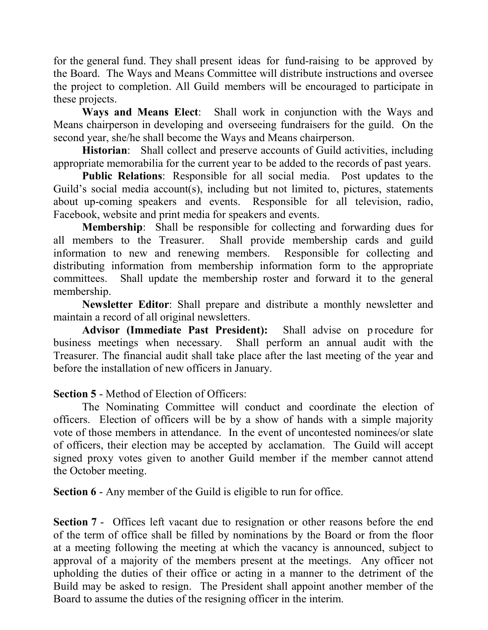for the general fund. They shall present ideas for fund-raising to be approved by the Board. The Ways and Means Committee will distribute instructions and oversee the project to completion. All Guild members will be encouraged to participate in these projects.

**Ways and Means Elect**: Shall work in conjunction with the Ways and Means chairperson in developing and overseeing fundraisers for the guild. On the second year, she/he shall become the Ways and Means chairperson.

**Historian**: Shall collect and preserve accounts of Guild activities, including appropriate memorabilia for the current year to be added to the records of past years.

**Public Relations**: Responsible for all social media. Post updates to the Guild's social media account(s), including but not limited to, pictures, statements about up-coming speakers and events. Responsible for all television, radio, Facebook, website and print media for speakers and events.

**Membership**: Shall be responsible for collecting and forwarding dues for all members to the Treasurer. Shall provide membership cards and guild information to new and renewing members. Responsible for collecting and distributing information from membership information form to the appropriate committees. Shall update the membership roster and forward it to the general membership.

**Newsletter Editor**: Shall prepare and distribute a monthly newsletter and maintain a record of all original newsletters.

Advisor (Immediate Past President): Shall advise on procedure for business meetings when necessary. Shall perform an annual audit with the Treasurer. The financial audit shall take place after the last meeting of the year and before the installation of new officers in January.

**Section 5** - Method of Election of Officers:

The Nominating Committee will conduct and coordinate the election of officers. Election of officers will be by a show of hands with a simple majority vote of those members in attendance. In the event of uncontested nominees/or slate of officers, their election may be accepted by acclamation. The Guild will accept signed proxy votes given to another Guild member if the member cannot attend the October meeting.

**Section 6** - Any member of the Guild is eligible to run for office.

**Section 7** - Offices left vacant due to resignation or other reasons before the end of the term of office shall be filled by nominations by the Board or from the floor at a meeting following the meeting at which the vacancy is announced, subject to approval of a majority of the members present at the meetings. Any officer not upholding the duties of their office or acting in a manner to the detriment of the Build may be asked to resign. The President shall appoint another member of the Board to assume the duties of the resigning officer in the interim.